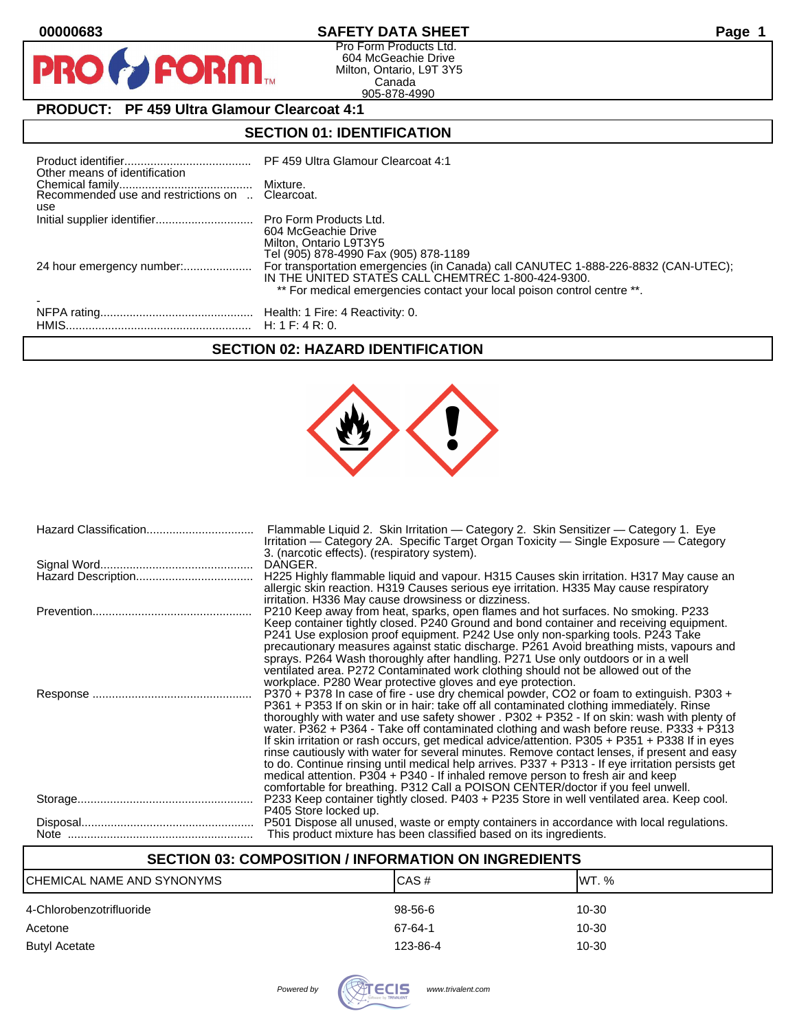$\mathbf O$ 

PR

# **00000683 SAFETY DATA SHEET Page 1**

Pro Form Products Ltd. 604 McGeachie Drive Milton, Ontario, L9T 3Y5 Canada 905-878-4990

# **PRODUCT: PF 459 Ultra Glamour Clearcoat 4:1**

**FORM** 

# **SECTION 01: IDENTIFICATION**

| Other means of identification |                                                                                                                                                                                                                     |
|-------------------------------|---------------------------------------------------------------------------------------------------------------------------------------------------------------------------------------------------------------------|
| use                           |                                                                                                                                                                                                                     |
|                               | 604 McGeachie Drive<br>Milton, Ontario L9T3Y5<br>Tel (905) 878-4990 Fax (905) 878-1189                                                                                                                              |
| 24 hour emergency number:     | For transportation emergencies (in Canada) call CANUTEC 1-888-226-8832 (CAN-UTEC);<br>IN THE UNITED STATES CALL CHEMTREC 1-800-424-9300.<br>** For medical emergencies contact your local poison control centre **. |
|                               |                                                                                                                                                                                                                     |

### **SECTION 02: HAZARD IDENTIFICATION**



| Flammable Liquid 2. Skin Irritation — Category 2. Skin Sensitizer — Category 1. Eye<br>Irritation — Category 2A. Specific Target Organ Toxicity — Single Exposure — Category<br>3. (narcotic effects). (respiratory system).             |
|------------------------------------------------------------------------------------------------------------------------------------------------------------------------------------------------------------------------------------------|
| DANGER.                                                                                                                                                                                                                                  |
| H225 Highly flammable liquid and vapour. H315 Causes skin irritation. H317 May cause an<br>allergic skin reaction. H319 Causes serious eye irritation. H335 May cause respiratory<br>irritation. H336 May cause drowsiness or dizziness. |
| P210 Keep away from heat, sparks, open flames and hot surfaces. No smoking. P233                                                                                                                                                         |
| Keep container tightly closed. P240 Ground and bond container and receiving equipment.                                                                                                                                                   |
| P241 Use explosion proof equipment. P242 Use only non-sparking tools. P243 Take                                                                                                                                                          |
| precautionary measures against static discharge. P261 Avoid breathing mists, vapours and                                                                                                                                                 |
| sprays. P264 Wash thoroughly after handling. P271 Use only outdoors or in a well                                                                                                                                                         |
| ventilated area. P272 Contaminated work clothing should not be allowed out of the<br>workplace. P280 Wear protective gloves and eye protection.                                                                                          |
| P370 + P378 In case of fire - use dry chemical powder, CO2 or foam to extinguish. P303 +                                                                                                                                                 |
| P361 + P353 If on skin or in hair: take off all contaminated clothing immediately. Rinse                                                                                                                                                 |
| thoroughly with water and use safety shower . P302 + P352 - If on skin: wash with plenty of                                                                                                                                              |
| water. P362 + P364 - Take off contaminated clothing and wash before reuse. P333 + P313                                                                                                                                                   |
| If skin irritation or rash occurs, get medical advice/attention. P305 + P351 + P338 If in eyes                                                                                                                                           |
| rinse cautiously with water for several minutes. Remove contact lenses, if present and easy                                                                                                                                              |
| to do. Continue rinsing until medical help arrives. P337 + P313 - If eye irritation persists get                                                                                                                                         |
| medical attention. P304 + P340 - If inhaled remove person to fresh air and keep                                                                                                                                                          |
| comfortable for breathing. P312 Call a POISON CENTER/doctor if you feel unwell.<br>P233 Keep container tightly closed. P403 + P235 Store in well ventilated area. Keep cool.                                                             |
| P405 Store locked up.                                                                                                                                                                                                                    |
| P501 Dispose all unused, waste or empty containers in accordance with local regulations.                                                                                                                                                 |
| This product mixture has been classified based on its ingredients.                                                                                                                                                                       |
|                                                                                                                                                                                                                                          |

# **SECTION 03: COMPOSITION / INFORMATION ON INGREDIENTS**

| ICHEMICAL NAME AND SYNONYMS | CAS#     | IWT. % |
|-----------------------------|----------|--------|
| 4-Chlorobenzotrifluoride    | 98-56-6  | 10-30  |
| Acetone                     | 67-64-1  | 10-30  |
| <b>Butyl Acetate</b>        | 123-86-4 | 10-30  |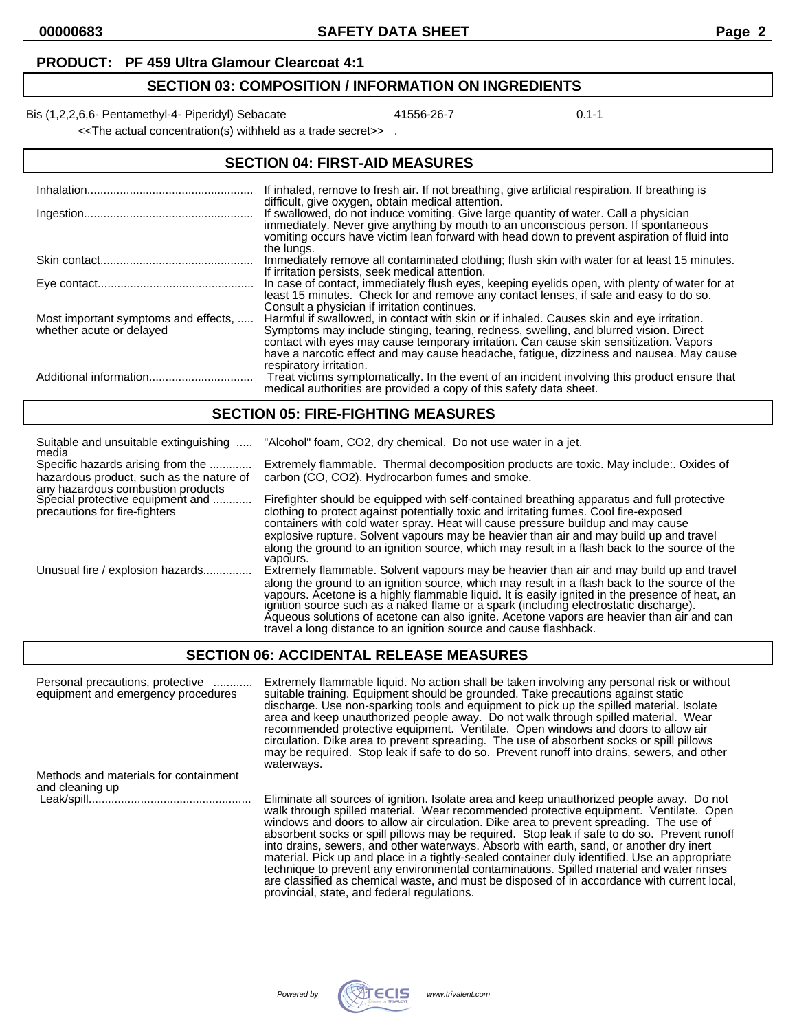#### **PRODUCT: PF 459 Ultra Glamour Clearcoat 4:1**

# **SECTION 03: COMPOSITION / INFORMATION ON INGREDIENTS**

Bis (1,2,2,6,6- Pentamethyl-4- Piperidyl) Sebacate 41556-26-7 41556-26-7 0.1-1

<<The actual concentration(s) withheld as a trade secret>> .

| <b>SECTION 04: FIRST-AID MEASURES</b>                            |                                                                                                                                                                                                                                                                                                                                                                                                    |  |
|------------------------------------------------------------------|----------------------------------------------------------------------------------------------------------------------------------------------------------------------------------------------------------------------------------------------------------------------------------------------------------------------------------------------------------------------------------------------------|--|
|                                                                  | If inhaled, remove to fresh air. If not breathing, give artificial respiration. If breathing is<br>difficult, give oxygen, obtain medical attention.                                                                                                                                                                                                                                               |  |
|                                                                  | If swallowed, do not induce vomiting. Give large quantity of water. Call a physician<br>immediately. Never give anything by mouth to an unconscious person. If spontaneous<br>vomiting occurs have victim lean forward with head down to prevent aspiration of fluid into<br>the lungs.                                                                                                            |  |
|                                                                  | Immediately remove all contaminated clothing; flush skin with water for at least 15 minutes.<br>If irritation persists, seek medical attention.                                                                                                                                                                                                                                                    |  |
|                                                                  | In case of contact, immediately flush eyes, keeping eyelids open, with plenty of water for at<br>least 15 minutes. Check for and remove any contact lenses, if safe and easy to do so.<br>Consult a physician if irritation continues.                                                                                                                                                             |  |
| Most important symptoms and effects,<br>whether acute or delayed | Harmful if swallowed, in contact with skin or if inhaled. Causes skin and eye irritation.<br>Symptoms may include stinging, tearing, redness, swelling, and blurred vision. Direct<br>contact with eyes may cause temporary irritation. Can cause skin sensitization. Vapors<br>have a narcotic effect and may cause headache, fatigue, dizziness and nausea. May cause<br>respiratory irritation. |  |
|                                                                  | Treat victims symptomatically. In the event of an incident involving this product ensure that<br>medical authorities are provided a copy of this safety data sheet.                                                                                                                                                                                                                                |  |

#### **SECTION 05: FIRE-FIGHTING MEASURES**

| Suitable and unsuitable extinguishing<br>media                                                         | "Alcohol" foam, CO2, dry chemical. Do not use water in a jet.                                                                                                                                                                                                                                                                                                                                                                                                                                                                                                       |
|--------------------------------------------------------------------------------------------------------|---------------------------------------------------------------------------------------------------------------------------------------------------------------------------------------------------------------------------------------------------------------------------------------------------------------------------------------------------------------------------------------------------------------------------------------------------------------------------------------------------------------------------------------------------------------------|
| Specific hazards arising from the<br>hazardous product, such as the nature of                          | Extremely flammable. Thermal decomposition products are toxic. May include: Oxides of<br>carbon (CO, CO2). Hydrocarbon fumes and smoke.                                                                                                                                                                                                                                                                                                                                                                                                                             |
| any hazardous combustion products<br>Special protective equipment and<br>precautions for fire-fighters | Firefighter should be equipped with self-contained breathing apparatus and full protective<br>clothing to protect against potentially toxic and irritating fumes. Cool fire-exposed<br>containers with cold water spray. Heat will cause pressure buildup and may cause<br>explosive rupture. Solvent vapours may be heavier than air and may build up and travel<br>along the ground to an ignition source, which may result in a flash back to the source of the                                                                                                  |
| Unusual fire / explosion hazards                                                                       | vapours.<br>Extremely flammable. Solvent vapours may be heavier than air and may build up and travel<br>along the ground to an ignition source, which may result in a flash back to the source of the<br>vapours. Acetone is a highly flammable liquid. It is easily ignited in the presence of heat, an<br>ignition source such as a naked flame or a spark (including electrostatic discharge).<br>Aqueous solutions of acetone can also ignite. Acetone vapors are heavier than air and can<br>travel a long distance to an ignition source and cause flashback. |

# **SECTION 06: ACCIDENTAL RELEASE MEASURES**

| Personal precautions, protective<br>equipment and emergency procedures | Extremely flammable liquid. No action shall be taken involving any personal risk or without<br>suitable training. Equipment should be grounded. Take precautions against static<br>discharge. Use non-sparking tools and equipment to pick up the spilled material. Isolate<br>area and keep unauthorized people away. Do not walk through spilled material. Wear<br>recommended protective equipment. Ventilate. Open windows and doors to allow air<br>circulation. Dike area to prevent spreading. The use of absorbent socks or spill pillows<br>may be required. Stop leak if safe to do so. Prevent runoff into drains, sewers, and other<br>waterways.          |
|------------------------------------------------------------------------|------------------------------------------------------------------------------------------------------------------------------------------------------------------------------------------------------------------------------------------------------------------------------------------------------------------------------------------------------------------------------------------------------------------------------------------------------------------------------------------------------------------------------------------------------------------------------------------------------------------------------------------------------------------------|
| Methods and materials for containment                                  |                                                                                                                                                                                                                                                                                                                                                                                                                                                                                                                                                                                                                                                                        |
| and cleaning up                                                        | Eliminate all sources of ignition. Isolate area and keep unauthorized people away. Do not                                                                                                                                                                                                                                                                                                                                                                                                                                                                                                                                                                              |
|                                                                        | walk through spilled material. Wear recommended protective equipment. Ventilate. Open<br>windows and doors to allow air circulation. Dike area to prevent spreading. The use of<br>absorbent socks or spill pillows may be required. Stop leak if safe to do so. Prevent runoff<br>into drains, sewers, and other waterways. Absorb with earth, sand, or another dry inert<br>material. Pick up and place in a tightly-sealed container duly identified. Use an appropriate<br>technique to prevent any environmental contaminations. Spilled material and water rinses<br>are classified as chemical waste, and must be disposed of in accordance with current local, |



provincial, state, and federal regulations.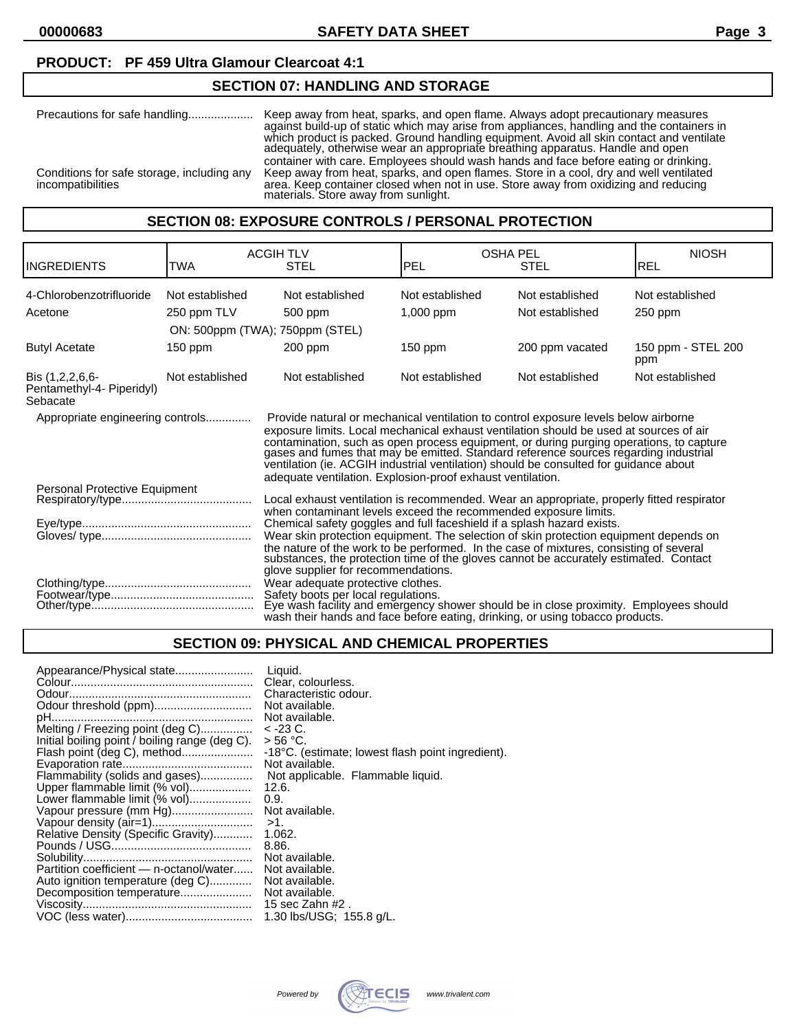#### **PRODUCT: PF 459 Ultra Glamour Clearcoat 4:1**

# **SECTION 07: HANDLING AND STORAGE**

| Precautions for safe handling                                   | Keep away from heat, sparks, and open flame. Always adopt precautionary measures<br>against build-up of static which may arise from appliances, handling and the containers in<br>which product is packed. Ground handling equipment. Avoid all skin contact and ventilate<br>adequately, otherwise wear an appropriate breathing apparatus. Handle and open |
|-----------------------------------------------------------------|--------------------------------------------------------------------------------------------------------------------------------------------------------------------------------------------------------------------------------------------------------------------------------------------------------------------------------------------------------------|
| Conditions for safe storage, including any<br>incompatibilities | container with care. Employees should wash hands and face before eating or drinking.<br>Keep away from heat, sparks, and open flames. Store in a cool, dry and well ventilated<br>area. Keep container closed when not in use. Store away from oxidizing and reducing<br>materials. Store away from sunlight.                                                |

#### **SECTION 08: EXPOSURE CONTROLS / PERSONAL PROTECTION**

| <b>INGREDIENTS</b>                                       | TWA             | <b>ACGIH TLV</b><br><b>STEL</b>                                                                                                                                                                                                                                                                                                                                                                                                                                                                                         | <b>PEL</b>      | <b>OSHA PEL</b><br><b>STEL</b> | <b>NIOSH</b><br>IREL      |
|----------------------------------------------------------|-----------------|-------------------------------------------------------------------------------------------------------------------------------------------------------------------------------------------------------------------------------------------------------------------------------------------------------------------------------------------------------------------------------------------------------------------------------------------------------------------------------------------------------------------------|-----------------|--------------------------------|---------------------------|
|                                                          |                 |                                                                                                                                                                                                                                                                                                                                                                                                                                                                                                                         |                 |                                |                           |
| 4-Chlorobenzotrifluoride                                 | Not established | Not established                                                                                                                                                                                                                                                                                                                                                                                                                                                                                                         | Not established | Not established                | Not established           |
| Acetone                                                  | 250 ppm TLV     | 500 ppm                                                                                                                                                                                                                                                                                                                                                                                                                                                                                                                 | $1,000$ ppm     | Not established                | $250$ ppm                 |
|                                                          |                 | ON: 500ppm (TWA); 750ppm (STEL)                                                                                                                                                                                                                                                                                                                                                                                                                                                                                         |                 |                                |                           |
| <b>Butyl Acetate</b>                                     | $150$ ppm       | $200$ ppm                                                                                                                                                                                                                                                                                                                                                                                                                                                                                                               | $150$ ppm       | 200 ppm vacated                | 150 ppm - STEL 200<br>ppm |
| Bis (1,2,2,6,6-<br>Pentamethyl-4- Piperidyl)<br>Sebacate | Not established | Not established                                                                                                                                                                                                                                                                                                                                                                                                                                                                                                         | Not established | Not established                | Not established           |
| Appropriate engineering controls                         |                 | Provide natural or mechanical ventilation to control exposure levels below airborne<br>exposure limits. Local mechanical exhaust ventilation should be used at sources of air<br>contamination, such as open process equipment, or during purging operations, to capture<br>gases and fumes that may be emitted. Standard reference sources regarding industrial<br>ventilation (ie. ACGIH industrial ventilation) should be consulted for guidance about<br>adequate ventilation. Explosion-proof exhaust ventilation. |                 |                                |                           |
| Personal Protective Equipment                            |                 | Local exhaust ventilation is recommended. Wear an appropriate, properly fitted respirator<br>when contaminant levels exceed the recommended exposure limits.                                                                                                                                                                                                                                                                                                                                                            |                 |                                |                           |
|                                                          |                 | Chemical safety goggles and full faceshield if a splash hazard exists.<br>Wear skin protection equipment. The selection of skin protection equipment depends on<br>the nature of the work to be performed. In the case of mixtures, consisting of several<br>substances, the protection time of the gloves cannot be accurately estimated. Contact<br>glove supplier for recommendations.                                                                                                                               |                 |                                |                           |
|                                                          |                 | Wear adequate protective clothes.<br>Safety boots per local regulations.<br>Eye wash facility and emergency shower should be in close proximity. Employees should<br>wash their hands and face before eating, drinking, or using tobacco products.                                                                                                                                                                                                                                                                      |                 |                                |                           |

#### **SECTION 09: PHYSICAL AND CHEMICAL PROPERTIES**

| Appearance/Physical state                      | Liquid.                                           |
|------------------------------------------------|---------------------------------------------------|
|                                                | Clear, colourless.                                |
|                                                | Characteristic odour.                             |
|                                                | Not available.                                    |
|                                                | Not available.                                    |
| Melting / Freezing point (deg C)               | < -23 C.                                          |
| Initial boiling point / boiling range (deg C). | > 56 °C.                                          |
| Flash point (deg C), method                    | -18°C. (estimate; lowest flash point ingredient). |
|                                                | Not available.                                    |
| Flammability (solids and gases)                | Not applicable. Flammable liquid.                 |
| Upper flammable limit (% vol)                  | 12.6.                                             |
| Lower flammable limit (% vol)                  | 0.9.                                              |
| Vapour pressure (mm Hg)                        | Not available.                                    |
|                                                | $>1$ .                                            |
| Relative Density (Specific Gravity)            | 1.062.                                            |
|                                                | 8.86.                                             |
|                                                | Not available.                                    |
| Partition coefficient — n-octanol/water        | Not available.                                    |
| Auto ignition temperature (deg C)              | Not available.                                    |
| Decomposition temperature                      | Not available.                                    |
|                                                | 15 sec Zahn #2 .                                  |
|                                                | 1.30 lbs/USG; 155.8 g/L.                          |

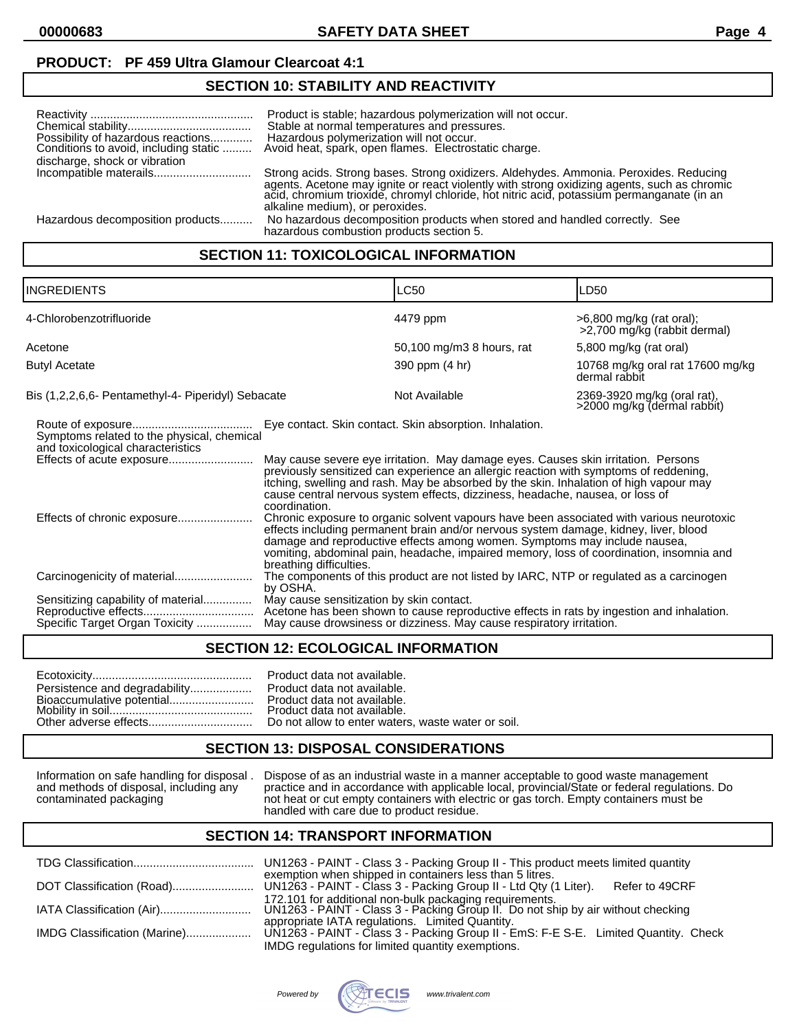### **PRODUCT: PF 459 Ultra Glamour Clearcoat 4:1**

# **SECTION 10: STABILITY AND REACTIVITY**

| Possibility of hazardous reactions<br>Conditions to avoid, including static | Product is stable; hazardous polymerization will not occur.<br>Stable at normal temperatures and pressures.<br>Hazardous polymerization will not occur.<br>Avoid heat, spark, open flames. Electrostatic charge.                                                                                                     |
|-----------------------------------------------------------------------------|----------------------------------------------------------------------------------------------------------------------------------------------------------------------------------------------------------------------------------------------------------------------------------------------------------------------|
| discharge, shock or vibration                                               |                                                                                                                                                                                                                                                                                                                      |
|                                                                             | Strong acids. Strong bases. Strong oxidizers. Aldehydes. Ammonia. Peroxides. Reducing<br>agents. Acetone may ignite or react violently with strong oxidizing agents, such as chromic<br>acid, chromium trioxide, chromyl chloride, hot nitric acid, potassium permanganate (in an<br>alkaline medium), or peroxides. |
| Hazardous decomposition products                                            | No hazardous decomposition products when stored and handled correctly. See<br>hazardous combustion products section 5.                                                                                                                                                                                               |

# **SECTION 11: TOXICOLOGICAL INFORMATION**

| <b>INGREDIENTS</b>                                                                                           |                                          | <b>LC50</b>                                                                                                                                                                                                                                                                                                                                                                                                      | LD50                                                       |
|--------------------------------------------------------------------------------------------------------------|------------------------------------------|------------------------------------------------------------------------------------------------------------------------------------------------------------------------------------------------------------------------------------------------------------------------------------------------------------------------------------------------------------------------------------------------------------------|------------------------------------------------------------|
| 4-Chlorobenzotrifluoride                                                                                     |                                          | 4479 ppm                                                                                                                                                                                                                                                                                                                                                                                                         | >6,800 mg/kg (rat oral);<br>>2,700 mg/kg (rabbit dermal)   |
| Acetone                                                                                                      |                                          | 50,100 mg/m3 8 hours, rat                                                                                                                                                                                                                                                                                                                                                                                        | 5,800 mg/kg (rat oral)                                     |
| <b>Butyl Acetate</b>                                                                                         |                                          | 390 ppm (4 hr)                                                                                                                                                                                                                                                                                                                                                                                                   | 10768 mg/kg oral rat 17600 mg/kg<br>dermal rabbit          |
| Bis (1,2,2,6,6- Pentamethyl-4- Piperidyl) Sebacate                                                           |                                          | Not Available                                                                                                                                                                                                                                                                                                                                                                                                    | 2369-3920 mg/kg (oral rat),<br>>2000 mg/kg (dermal rabbit) |
| Symptoms related to the physical, chemical<br>and toxicological characteristics<br>Effects of acute exposure | coordination.                            | Eye contact. Skin contact. Skin absorption. Inhalation.<br>May cause severe eye irritation. May damage eyes. Causes skin irritation. Persons<br>previously sensitized can experience an allergic reaction with symptoms of reddening,<br>itching, swelling and rash. May be absorbed by the skin. Inhalation of high vapour may<br>cause central nervous system effects, dizziness, headache, nausea, or loss of |                                                            |
| Effects of chronic exposure                                                                                  | breathing difficulties.                  | Chronic exposure to organic solvent vapours have been associated with various neurotoxic<br>effects including permanent brain and/or nervous system damage, kidney, liver, blood<br>damage and reproductive effects among women. Symptoms may include nausea,<br>vomiting, abdominal pain, headache, impaired memory, loss of coordination, insomnia and                                                         |                                                            |
| Carcinogenicity of material                                                                                  | by OSHA.                                 | The components of this product are not listed by IARC, NTP or regulated as a carcinogen                                                                                                                                                                                                                                                                                                                          |                                                            |
| Sensitizing capability of material<br>Specific Target Organ Toxicity                                         | May cause sensitization by skin contact. | Acetone has been shown to cause reproductive effects in rats by ingestion and inhalation.<br>May cause drowsiness or dizziness. May cause respiratory irritation.                                                                                                                                                                                                                                                |                                                            |
|                                                                                                              |                                          |                                                                                                                                                                                                                                                                                                                                                                                                                  |                                                            |

#### **SECTION 12: ECOLOGICAL INFORMATION**

| Persistence and degradability |
|-------------------------------|
| Bioaccumulative potential     |
|                               |
| Other adverse effects         |

#### Product data not available. Product data not available. Product data not available. Product data not available. Do not allow to enter waters, waste water or soil.

# **SECTION 13: DISPOSAL CONSIDERATIONS**

Information on safe handling for disposal . Dispose of as an industrial waste in a manner acceptable to good waste management and methods of disposal, including any practice and in accordance with applicable local, provincial/State or federal regulations. Do and methods of disposal, including any practice and in accordance with applicable local, provincial/State or federal regulation contaminated packaging not heat or cut empty containers with electric or gas torch. Empty cont handled with care due to product residue.

# **SECTION 14: TRANSPORT INFORMATION**

|                              | UN1263 - PAINT - Class 3 - Packing Group II - This product meets limited quantity                                                           |
|------------------------------|---------------------------------------------------------------------------------------------------------------------------------------------|
|                              | exemption when shipped in containers less than 5 litres.<br>Refer to 49CRF                                                                  |
|                              | 172.101 for additional non-bulk packaging requirements.<br>UN1263 - PAINT - Class 3 - Packing Group II. Do not ship by air without checking |
|                              | appropriate IATA regulations. Limited Quantity.                                                                                             |
| IMDG Classification (Marine) | UN1263 - PAINT - Class 3 - Packing Group II - EmS: F-E S-E. Limited Quantity. Check<br>IMDG regulations for limited quantity exemptions.    |